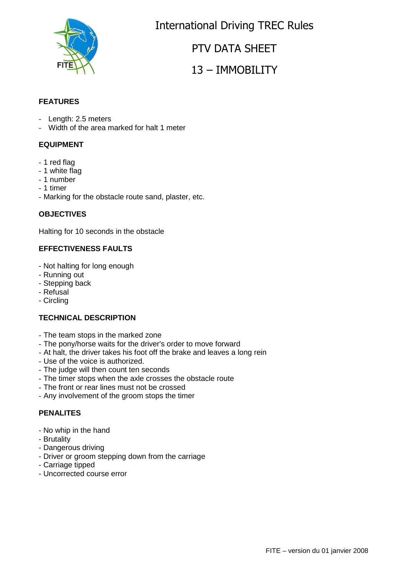

International Driving TREC Rules

PTV DATA SHEET

# 13 – IMMOBILITY

## **FEATURES**

- Length: 2.5 meters
- Width of the area marked for halt 1 meter

### **EQUIPMENT**

- 1 red flag
- 1 white flag
- 1 number
- 1 timer
- Marking for the obstacle route sand, plaster, etc.

### **OBJECTIVES**

Halting for 10 seconds in the obstacle

#### **EFFECTIVENESS FAULTS**

- Not halting for long enough
- Running out
- Stepping back
- Refusal
- Circling

#### **TECHNICAL DESCRIPTION**

- The team stops in the marked zone
- The pony/horse waits for the driver's order to move forward
- At halt, the driver takes his foot off the brake and leaves a long rein
- Use of the voice is authorized.
- The judge will then count ten seconds
- The timer stops when the axle crosses the obstacle route
- The front or rear lines must not be crossed
- Any involvement of the groom stops the timer

#### **PENALITES**

- No whip in the hand
- Brutality
- Dangerous driving
- Driver or groom stepping down from the carriage
- Carriage tipped
- Uncorrected course error